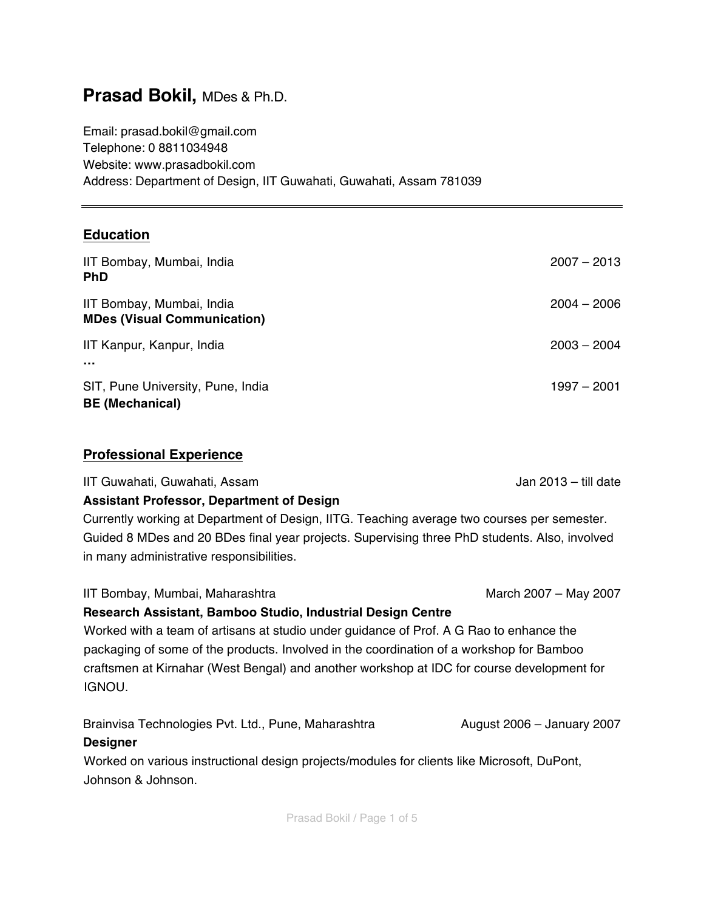# **Prasad Bokil,** MDes & Ph.D.

Email: prasad.bokil@gmail.com Telephone: 0 8811034948 Website: www.prasadbokil.com Address: Department of Design, IIT Guwahati, Guwahati, Assam 781039

### **Education**

| IIT Bombay, Mumbai, India<br><b>PhD</b>                         | $2007 - 2013$ |
|-----------------------------------------------------------------|---------------|
| IIT Bombay, Mumbai, India<br><b>MDes (Visual Communication)</b> | $2004 - 2006$ |
| IIT Kanpur, Kanpur, India<br>$\cdots$                           | $2003 - 2004$ |
| SIT, Pune University, Pune, India<br><b>BE (Mechanical)</b>     | $1997 - 2001$ |

### **Professional Experience**

IIT Guwahati, Guwahati, Assam Jan 2013 – till date

### **Assistant Professor, Department of Design**

Currently working at Department of Design, IITG. Teaching average two courses per semester. Guided 8 MDes and 20 BDes final year projects. Supervising three PhD students. Also, involved in many administrative responsibilities.

IIT Bombay, Mumbai, Maharashtra March 2007 – May 2007 Hay 2007 Hay 2007 Hay 2007

### **Research Assistant, Bamboo Studio, Industrial Design Centre**

Worked with a team of artisans at studio under guidance of Prof. A G Rao to enhance the packaging of some of the products. Involved in the coordination of a workshop for Bamboo craftsmen at Kirnahar (West Bengal) and another workshop at IDC for course development for IGNOU.

Brainvisa Technologies Pvt. Ltd., Pune, Maharashtra **August 2006** – January 2007

### **Designer**

Worked on various instructional design projects/modules for clients like Microsoft, DuPont, Johnson & Johnson.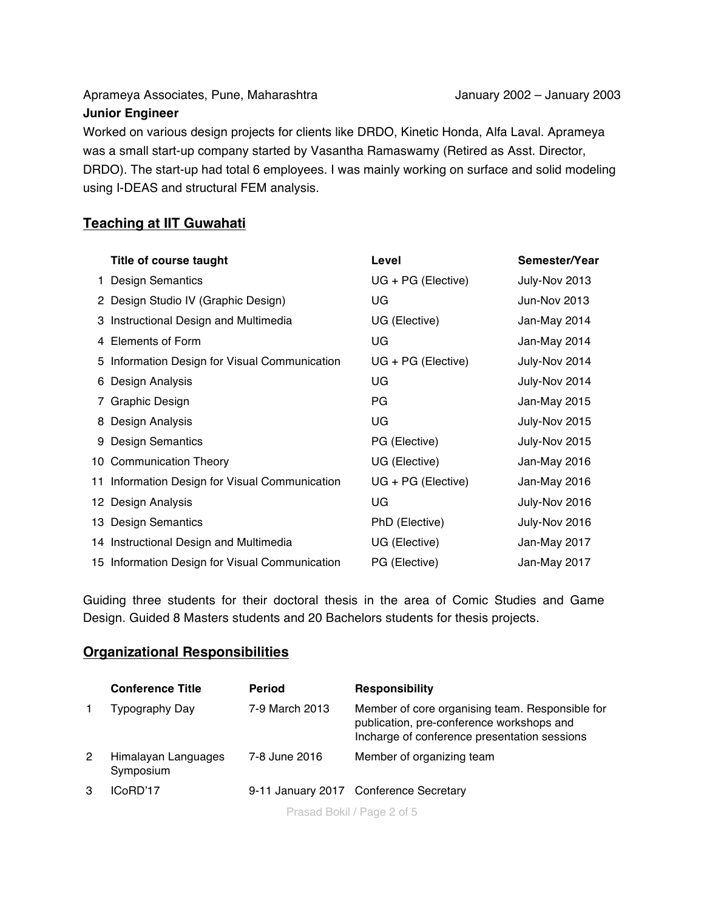Aprameya Associates, Pune, Maharashtra January 2002 – January 2003

#### **Junior Engineer**

Worked on various design projects for clients like DRDO, Kinetic Honda, Alfa Laval. Aprameya was a small start-up company started by Vasantha Ramaswamy (Retired as Asst. Director, DRDO). The start-up had total 6 employees. I was mainly working on surface and solid modeling using I-DEAS and structural FEM analysis.

### **Teaching at IIT Guwahati**

|            | Title of course taught                         | Level              | Semester/Year |
|------------|------------------------------------------------|--------------------|---------------|
|            | <b>Design Semantics</b>                        | UG + PG (Elective) | July-Nov 2013 |
|            | 2 Design Studio IV (Graphic Design)            | UG                 | Jun-Nov 2013  |
|            | 3 Instructional Design and Multimedia          | UG (Elective)      | Jan-May 2014  |
| 4          | Elements of Form                               | UG                 | Jan-May 2014  |
|            | 5 Information Design for Visual Communication  | UG + PG (Elective) | July-Nov 2014 |
|            | 6 Design Analysis                              | UG                 | July-Nov 2014 |
| $\sqrt{2}$ | <b>Graphic Design</b>                          | PG                 | Jan-May 2015  |
|            | 8 Design Analysis                              | UG                 | July-Nov 2015 |
|            | 9 Design Semantics                             | PG (Elective)      | July-Nov 2015 |
|            | 10 Communication Theory                        | UG (Elective)      | Jan-May 2016  |
|            | 11 Information Design for Visual Communication | UG + PG (Elective) | Jan-May 2016  |
|            | 12 Design Analysis                             | UG                 | July-Nov 2016 |
|            | 13 Design Semantics                            | PhD (Elective)     | July-Nov 2016 |
|            | 14 Instructional Design and Multimedia         | UG (Elective)      | Jan-May 2017  |
|            | 15 Information Design for Visual Communication | PG (Elective)      | Jan-May 2017  |

Guiding three students for their doctoral thesis in the area of Comic Studies and Game Design. Guided 8 Masters students and 20 Bachelors students for thesis projects.

#### **Organizational Responsibilities**

|   | <b>Conference Title</b>          | <b>Period</b>  | <b>Responsibility</b>                                                                                                                        |
|---|----------------------------------|----------------|----------------------------------------------------------------------------------------------------------------------------------------------|
|   | Typography Day                   | 7-9 March 2013 | Member of core organising team. Responsible for<br>publication, pre-conference workshops and<br>Incharge of conference presentation sessions |
| 2 | Himalayan Languages<br>Symposium | 7-8 June 2016  | Member of organizing team                                                                                                                    |
| 3 | ICoRD'17                         |                | 9-11 January 2017 Conference Secretary                                                                                                       |

Prasad Bokil / Page 2 of 5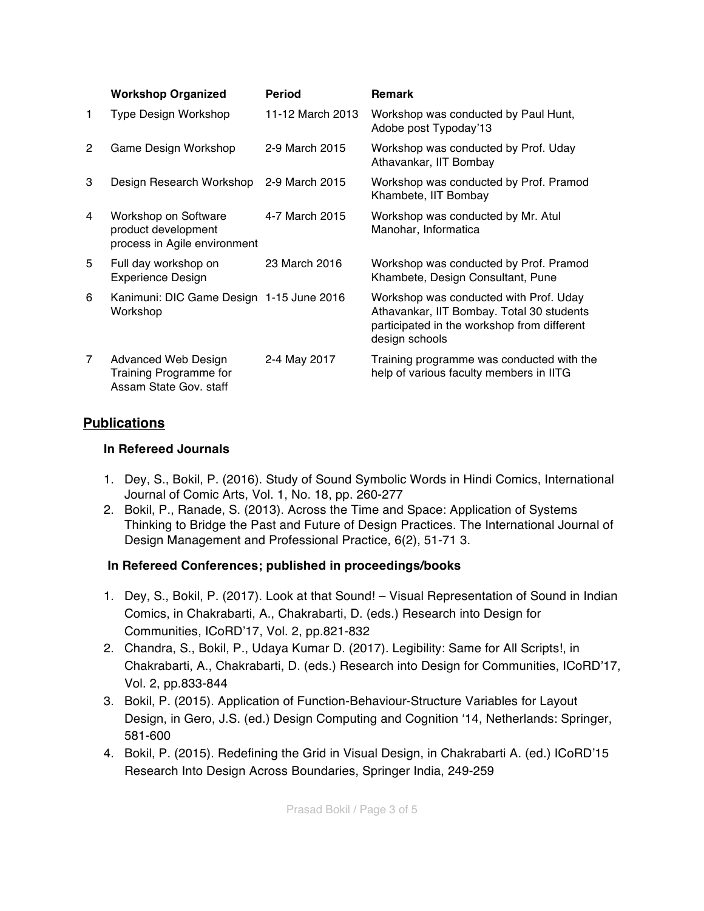|                | <b>Workshop Organized</b>                                                      | <b>Period</b>    | <b>Remark</b>                                                                                                                                        |
|----------------|--------------------------------------------------------------------------------|------------------|------------------------------------------------------------------------------------------------------------------------------------------------------|
| 1.             | Type Design Workshop                                                           | 11-12 March 2013 | Workshop was conducted by Paul Hunt,<br>Adobe post Typoday'13                                                                                        |
| $\overline{2}$ | Game Design Workshop                                                           | 2-9 March 2015   | Workshop was conducted by Prof. Uday<br>Athavankar, IIT Bombay                                                                                       |
| 3              | Design Research Workshop                                                       | 2-9 March 2015   | Workshop was conducted by Prof. Pramod<br>Khambete, IIT Bombay                                                                                       |
| 4              | Workshop on Software<br>product development<br>process in Agile environment    | 4-7 March 2015   | Workshop was conducted by Mr. Atul<br>Manohar, Informatica                                                                                           |
| 5              | Full day workshop on<br><b>Experience Design</b>                               | 23 March 2016    | Workshop was conducted by Prof. Pramod<br>Khambete, Design Consultant, Pune                                                                          |
| 6              | Kanimuni: DIC Game Design 1-15 June 2016<br>Workshop                           |                  | Workshop was conducted with Prof. Uday<br>Athavankar, IIT Bombay. Total 30 students<br>participated in the workshop from different<br>design schools |
| 7              | Advanced Web Design<br><b>Training Programme for</b><br>Assam State Gov. staff | 2-4 May 2017     | Training programme was conducted with the<br>help of various faculty members in IITG                                                                 |

### **Publications**

#### **In Refereed Journals**

- 1. Dey, S., Bokil, P. (2016). Study of Sound Symbolic Words in Hindi Comics, International Journal of Comic Arts, Vol. 1, No. 18, pp. 260-277
- 2. Bokil, P., Ranade, S. (2013). Across the Time and Space: Application of Systems Thinking to Bridge the Past and Future of Design Practices. The International Journal of Design Management and Professional Practice, 6(2), 51-71 3.

### **In Refereed Conferences; published in proceedings/books**

- 1. Dey, S., Bokil, P. (2017). Look at that Sound! Visual Representation of Sound in Indian Comics, in Chakrabarti, A., Chakrabarti, D. (eds.) Research into Design for Communities, ICoRD'17, Vol. 2, pp.821-832
- 2. Chandra, S., Bokil, P., Udaya Kumar D. (2017). Legibility: Same for All Scripts!, in Chakrabarti, A., Chakrabarti, D. (eds.) Research into Design for Communities, ICoRD'17, Vol. 2, pp.833-844
- 3. Bokil, P. (2015). Application of Function-Behaviour-Structure Variables for Layout Design, in Gero, J.S. (ed.) Design Computing and Cognition '14, Netherlands: Springer, 581-600
- 4. Bokil, P. (2015). Redefining the Grid in Visual Design, in Chakrabarti A. (ed.) ICoRD'15 Research Into Design Across Boundaries, Springer India, 249-259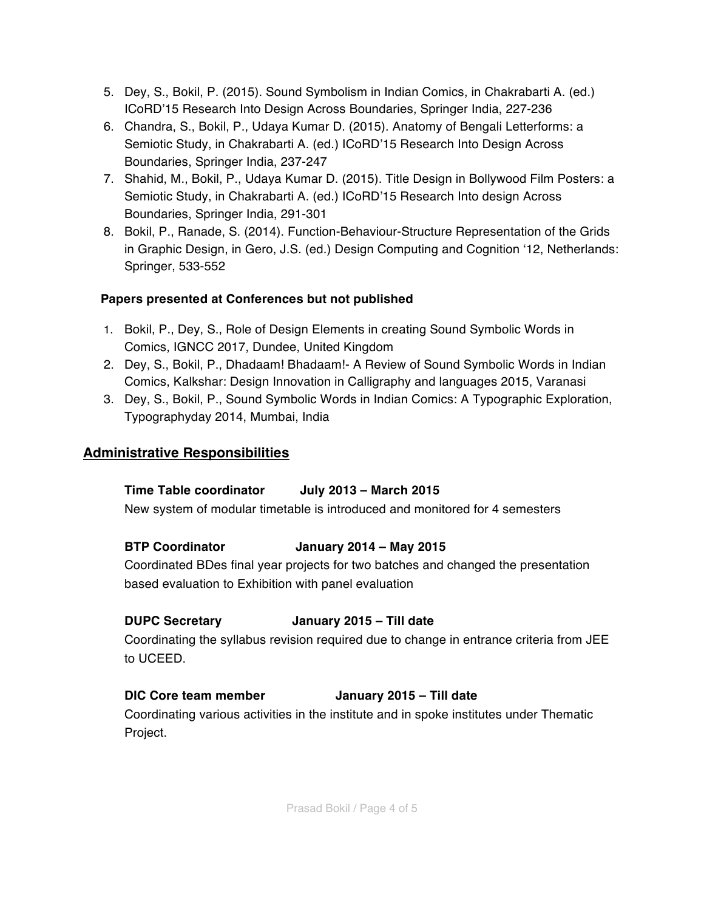- 5. Dey, S., Bokil, P. (2015). Sound Symbolism in Indian Comics, in Chakrabarti A. (ed.) ICoRD'15 Research Into Design Across Boundaries, Springer India, 227-236
- 6. Chandra, S., Bokil, P., Udaya Kumar D. (2015). Anatomy of Bengali Letterforms: a Semiotic Study, in Chakrabarti A. (ed.) ICoRD'15 Research Into Design Across Boundaries, Springer India, 237-247
- 7. Shahid, M., Bokil, P., Udaya Kumar D. (2015). Title Design in Bollywood Film Posters: a Semiotic Study, in Chakrabarti A. (ed.) ICoRD'15 Research Into design Across Boundaries, Springer India, 291-301
- 8. Bokil, P., Ranade, S. (2014). Function-Behaviour-Structure Representation of the Grids in Graphic Design, in Gero, J.S. (ed.) Design Computing and Cognition '12, Netherlands: Springer, 533-552

## **Papers presented at Conferences but not published**

- 1. Bokil, P., Dey, S., Role of Design Elements in creating Sound Symbolic Words in Comics, IGNCC 2017, Dundee, United Kingdom
- 2. Dey, S., Bokil, P., Dhadaam! Bhadaam!- A Review of Sound Symbolic Words in Indian Comics, Kalkshar: Design Innovation in Calligraphy and languages 2015, Varanasi
- 3. Dey, S., Bokil, P., Sound Symbolic Words in Indian Comics: A Typographic Exploration, Typographyday 2014, Mumbai, India

# **Administrative Responsibilities**

# **Time Table coordinator July 2013 – March 2015**

New system of modular timetable is introduced and monitored for 4 semesters

### **BTP Coordinator January 2014 – May 2015**

Coordinated BDes final year projects for two batches and changed the presentation based evaluation to Exhibition with panel evaluation

### **DUPC Secretary January 2015 – Till date**

Coordinating the syllabus revision required due to change in entrance criteria from JEE to UCEED.

# **DIC Core team member January 2015 – Till date**

Coordinating various activities in the institute and in spoke institutes under Thematic Project.

Prasad Bokil / Page 4 of 5